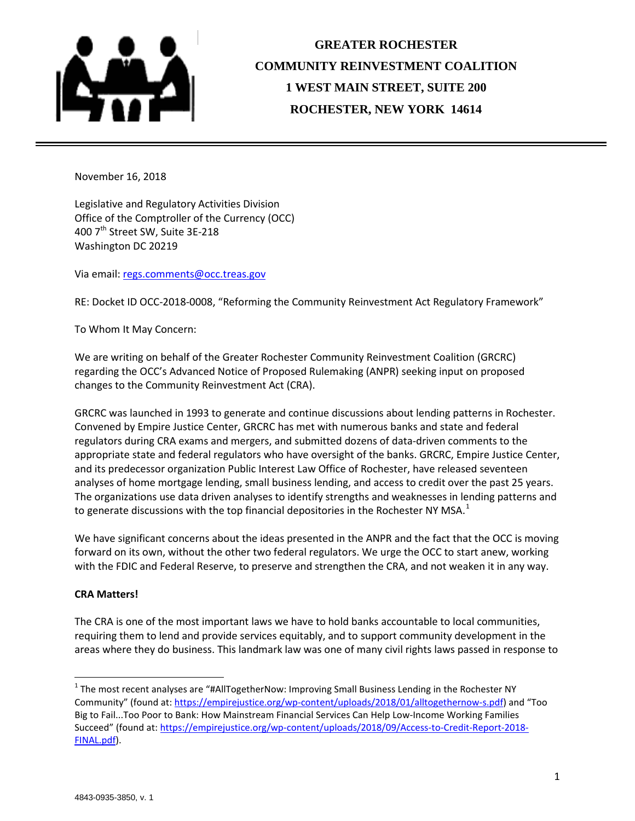

# **GREATER ROCHESTER COMMUNITY REINVESTMENT COALITION 1 WEST MAIN STREET, SUITE 200 ROCHESTER, NEW YORK 14614**

November 16, 2018

Legislative and Regulatory Activities Division Office of the Comptroller of the Currency (OCC) 400 7<sup>th</sup> Street SW, Suite 3E-218 Washington DC 20219

Via email[: regs.comments@occ.treas.gov](mailto:regs.comments@occ.treas.gov)

RE: Docket ID OCC-2018-0008, "Reforming the Community Reinvestment Act Regulatory Framework"

To Whom It May Concern:

We are writing on behalf of the Greater Rochester Community Reinvestment Coalition (GRCRC) regarding the OCC's Advanced Notice of Proposed Rulemaking (ANPR) seeking input on proposed changes to the Community Reinvestment Act (CRA).

GRCRC was launched in 1993 to generate and continue discussions about lending patterns in Rochester. Convened by Empire Justice Center, GRCRC has met with numerous banks and state and federal regulators during CRA exams and mergers, and submitted dozens of data-driven comments to the appropriate state and federal regulators who have oversight of the banks. GRCRC, Empire Justice Center, and its predecessor organization Public Interest Law Office of Rochester, have released seventeen analyses of home mortgage lending, small business lending, and access to credit over the past 25 years. The organizations use data driven analyses to identify strengths and weaknesses in lending patterns and to generate discussions with the top financial depositories in the Rochester NY MSA.<sup>[1](#page-0-0)</sup>

We have significant concerns about the ideas presented in the ANPR and the fact that the OCC is moving forward on its own, without the other two federal regulators. We urge the OCC to start anew, working with the FDIC and Federal Reserve, to preserve and strengthen the CRA, and not weaken it in any way.

# **CRA Matters!**

The CRA is one of the most important laws we have to hold banks accountable to local communities, requiring them to lend and provide services equitably, and to support community development in the areas where they do business. This landmark law was one of many civil rights laws passed in response to

<span id="page-0-0"></span><sup>&</sup>lt;sup>1</sup> The most recent analyses are "#AllTogetherNow: Improving Small Business Lending in the Rochester NY Community" (found at: [https://empirejustice.org/wp-content/uploads/2018/01/alltogethernow-s.pdf\)](https://empirejustice.org/wp-content/uploads/2018/01/alltogethernow-s.pdf) and "Too Big to Fail...Too Poor to Bank: How Mainstream Financial Services Can Help Low-Income Working Families Succeed" (found at: [https://empirejustice.org/wp-content/uploads/2018/09/Access-to-Credit-Report-2018-](https://empirejustice.org/wp-content/uploads/2018/09/Access-to-Credit-Report-2018-FINAL.pdf) [FINAL.pdf\)](https://empirejustice.org/wp-content/uploads/2018/09/Access-to-Credit-Report-2018-FINAL.pdf).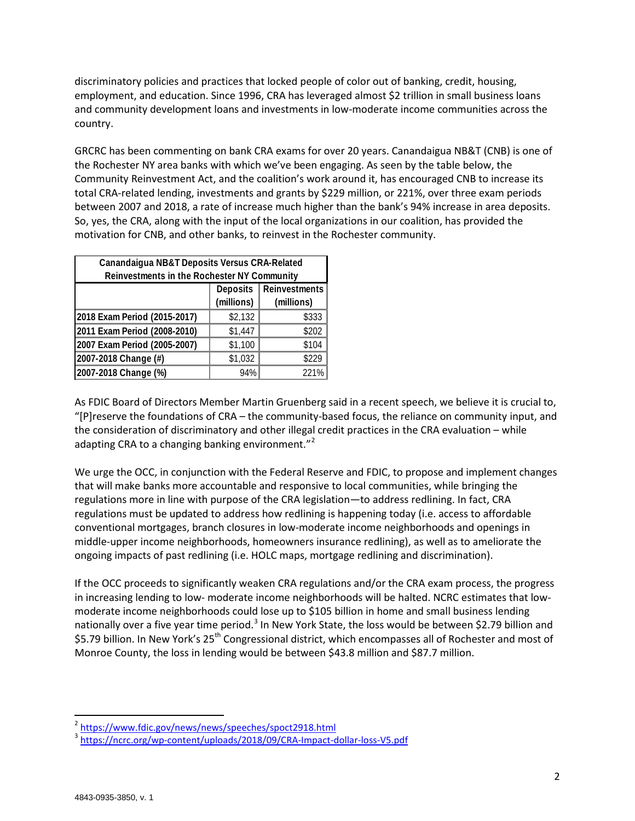discriminatory policies and practices that locked people of color out of banking, credit, housing, employment, and education. Since 1996, CRA has leveraged almost \$2 trillion in small business loans and community development loans and investments in low-moderate income communities across the country.

GRCRC has been commenting on bank CRA exams for over 20 years. Canandaigua NB&T (CNB) is one of the Rochester NY area banks with which we've been engaging. As seen by the table below, the Community Reinvestment Act, and the coalition's work around it, has encouraged CNB to increase its total CRA-related lending, investments and grants by \$229 million, or 221%, over three exam periods between 2007 and 2018, a rate of increase much higher than the bank's 94% increase in area deposits. So, yes, the CRA, along with the input of the local organizations in our coalition, has provided the motivation for CNB, and other banks, to reinvest in the Rochester community.

| Canandaigua NB&T Deposits Versus CRA-Related<br>Reinvestments in the Rochester NY Community |                               |                             |  |  |
|---------------------------------------------------------------------------------------------|-------------------------------|-----------------------------|--|--|
|                                                                                             | <b>Deposits</b><br>(millions) | Reinvestments<br>(millions) |  |  |
| 2018 Exam Period (2015-2017)                                                                | \$2,132                       | \$333                       |  |  |
| 2011 Exam Period (2008-2010)                                                                | \$1,447                       | \$202                       |  |  |
| 2007 Exam Period (2005-2007)                                                                | \$1,100                       | \$104                       |  |  |
| 2007-2018 Change (#)                                                                        | \$1,032                       | \$229                       |  |  |
| 2007-2018 Change (%)                                                                        | 94%                           | 221%                        |  |  |

As FDIC Board of Directors Member Martin Gruenberg said in a recent speech, we believe it is crucial to, "[P]reserve the foundations of CRA – the community-based focus, the reliance on community input, and the consideration of discriminatory and other illegal credit practices in the CRA evaluation – while adapting CRA to a changing banking environment."<sup>[2](#page-1-0)</sup>

We urge the OCC, in conjunction with the Federal Reserve and FDIC, to propose and implement changes that will make banks more accountable and responsive to local communities, while bringing the regulations more in line with purpose of the CRA legislation—to address redlining. In fact, CRA regulations must be updated to address how redlining is happening today (i.e. access to affordable conventional mortgages, branch closures in low-moderate income neighborhoods and openings in middle-upper income neighborhoods, homeowners insurance redlining), as well as to ameliorate the ongoing impacts of past redlining (i.e. HOLC maps, mortgage redlining and discrimination).

If the OCC proceeds to significantly weaken CRA regulations and/or the CRA exam process, the progress in increasing lending to low- moderate income neighborhoods will be halted. NCRC estimates that lowmoderate income neighborhoods could lose up to \$105 billion in home and small business lending nationally over a five year time period.<sup>[3](#page-1-1)</sup> In New York State, the loss would be between \$2.79 billion and \$5.79 billion. In New York's 25<sup>th</sup> Congressional district, which encompasses all of Rochester and most of Monroe County, the loss in lending would be between \$43.8 million and \$87.7 million.

<span id="page-1-0"></span> <sup>2</sup> <https://www.fdic.gov/news/news/speeches/spoct2918.html>

<span id="page-1-1"></span><sup>3</sup> <https://ncrc.org/wp-content/uploads/2018/09/CRA-Impact-dollar-loss-V5.pdf>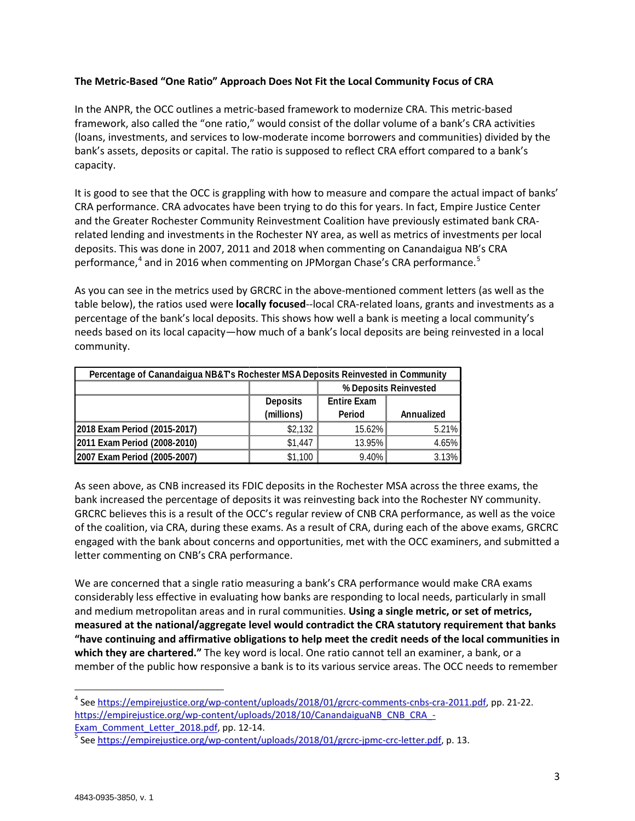# **The Metric-Based "One Ratio" Approach Does Not Fit the Local Community Focus of CRA**

In the ANPR, the OCC outlines a metric-based framework to modernize CRA. This metric-based framework, also called the "one ratio," would consist of the dollar volume of a bank's CRA activities (loans, investments, and services to low-moderate income borrowers and communities) divided by the bank's assets, deposits or capital. The ratio is supposed to reflect CRA effort compared to a bank's capacity.

It is good to see that the OCC is grappling with how to measure and compare the actual impact of banks' CRA performance. CRA advocates have been trying to do this for years. In fact, Empire Justice Center and the Greater Rochester Community Reinvestment Coalition have previously estimated bank CRArelated lending and investments in the Rochester NY area, as well as metrics of investments per local deposits. This was done in 2007, 2011 and 2018 when commenting on Canandaigua NB's CRA performance, $4$  and in 2016 when commenting on JPMorgan Chase's CRA performance.<sup>[5](#page-2-1)</sup>

As you can see in the metrics used by GRCRC in the above-mentioned comment letters (as well as the table below), the ratios used were **locally focused**--local CRA-related loans, grants and investments as a percentage of the bank's local deposits. This shows how well a bank is meeting a local community's needs based on its local capacity—how much of a bank's local deposits are being reinvested in a local community.

| Percentage of Canandaigua NB&T's Rochester MSA Deposits Reinvested in Community |                 |                       |            |  |
|---------------------------------------------------------------------------------|-----------------|-----------------------|------------|--|
|                                                                                 |                 | % Deposits Reinvested |            |  |
|                                                                                 | <b>Deposits</b> | <b>Entire Exam</b>    |            |  |
|                                                                                 | (millions)      | Period                | Annualized |  |
| 2018 Exam Period (2015-2017)                                                    | \$2,132         | 15.62%                | 5.21%      |  |
| 2011 Exam Period (2008-2010)                                                    | \$1,447         | 13.95%                | 4.65%      |  |
| 2007 Exam Period (2005-2007)                                                    | \$1,100         | 9.40%                 | 3.13%      |  |

As seen above, as CNB increased its FDIC deposits in the Rochester MSA across the three exams, the bank increased the percentage of deposits it was reinvesting back into the Rochester NY community. GRCRC believes this is a result of the OCC's regular review of CNB CRA performance, as well as the voice of the coalition, via CRA, during these exams. As a result of CRA, during each of the above exams, GRCRC engaged with the bank about concerns and opportunities, met with the OCC examiners, and submitted a letter commenting on CNB's CRA performance.

We are concerned that a single ratio measuring a bank's CRA performance would make CRA exams considerably less effective in evaluating how banks are responding to local needs, particularly in small and medium metropolitan areas and in rural communities. **Using a single metric, or set of metrics, measured at the national/aggregate level would contradict the CRA statutory requirement that banks "have continuing and affirmative obligations to help meet the credit needs of the local communities in which they are chartered."** The key word is local. One ratio cannot tell an examiner, a bank, or a member of the public how responsive a bank is to its various service areas. The OCC needs to remember

<span id="page-2-0"></span> <sup>4</sup> See [https://empirejustice.org/wp-content/uploads/2018/01/grcrc-comments-cnbs-cra-2011.pdf,](https://empirejustice.org/wp-content/uploads/2018/01/grcrc-comments-cnbs-cra-2011.pdf) pp. 21-22. [https://empirejustice.org/wp-content/uploads/2018/10/CanandaiguaNB\\_CNB\\_CRA\\_-](https://empirejustice.org/wp-content/uploads/2018/10/CanandaiguaNB_CNB_CRA_-Exam_Comment_Letter_2018.pdf)

<span id="page-2-1"></span>[Exam\\_Comment\\_Letter\\_2018.pdf,](https://empirejustice.org/wp-content/uploads/2018/10/CanandaiguaNB_CNB_CRA_-Exam_Comment_Letter_2018.pdf) pp. 12-14.<br><sup>5</sup> See [https://empirejustice.org/wp-content/uploads/2018/01/grcrc-jpmc-crc-letter.pdf,](https://empirejustice.org/wp-content/uploads/2018/01/grcrc-jpmc-crc-letter.pdf) p. 13.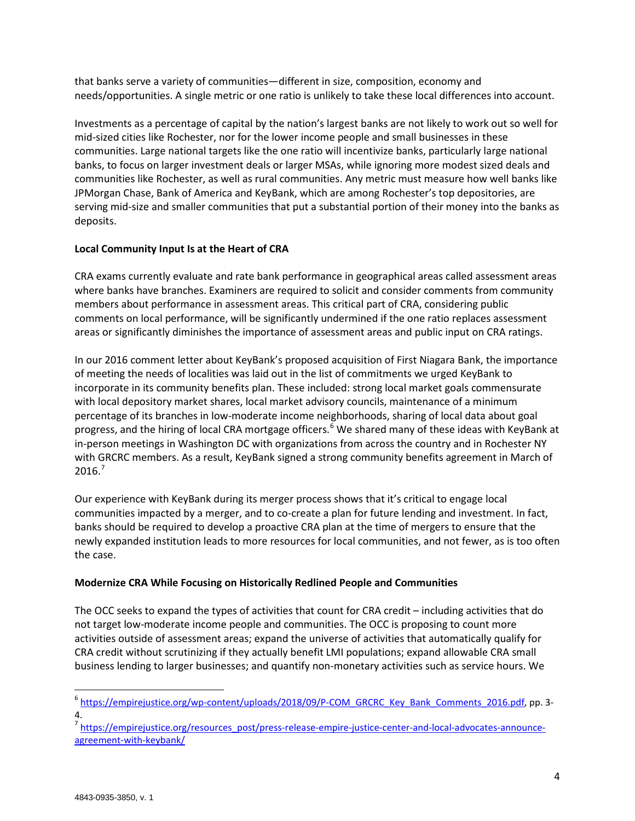that banks serve a variety of communities—different in size, composition, economy and needs/opportunities. A single metric or one ratio is unlikely to take these local differences into account.

Investments as a percentage of capital by the nation's largest banks are not likely to work out so well for mid-sized cities like Rochester, nor for the lower income people and small businesses in these communities. Large national targets like the one ratio will incentivize banks, particularly large national banks, to focus on larger investment deals or larger MSAs, while ignoring more modest sized deals and communities like Rochester, as well as rural communities. Any metric must measure how well banks like JPMorgan Chase, Bank of America and KeyBank, which are among Rochester's top depositories, are serving mid-size and smaller communities that put a substantial portion of their money into the banks as deposits.

# **Local Community Input Is at the Heart of CRA**

CRA exams currently evaluate and rate bank performance in geographical areas called assessment areas where banks have branches. Examiners are required to solicit and consider comments from community members about performance in assessment areas. This critical part of CRA, considering public comments on local performance, will be significantly undermined if the one ratio replaces assessment areas or significantly diminishes the importance of assessment areas and public input on CRA ratings.

In our 2016 comment letter about KeyBank's proposed acquisition of First Niagara Bank, the importance of meeting the needs of localities was laid out in the list of commitments we urged KeyBank to incorporate in its community benefits plan. These included: strong local market goals commensurate with local depository market shares, local market advisory councils, maintenance of a minimum percentage of its branches in low-moderate income neighborhoods, sharing of local data about goal progress, and the hiring of local CRA mortgage officers.<sup>[6](#page-3-0)</sup> We shared many of these ideas with KeyBank at in-person meetings in Washington DC with organizations from across the country and in Rochester NY with GRCRC members. As a result, KeyBank signed a strong community benefits agreement in March of  $2016.<sup>7</sup>$  $2016.<sup>7</sup>$  $2016.<sup>7</sup>$ 

Our experience with KeyBank during its merger process shows that it's critical to engage local communities impacted by a merger, and to co-create a plan for future lending and investment. In fact, banks should be required to develop a proactive CRA plan at the time of mergers to ensure that the newly expanded institution leads to more resources for local communities, and not fewer, as is too often the case.

# **Modernize CRA While Focusing on Historically Redlined People and Communities**

The OCC seeks to expand the types of activities that count for CRA credit – including activities that do not target low-moderate income people and communities. The OCC is proposing to count more activities outside of assessment areas; expand the universe of activities that automatically qualify for CRA credit without scrutinizing if they actually benefit LMI populations; expand allowable CRA small business lending to larger businesses; and quantify non-monetary activities such as service hours. We

<span id="page-3-0"></span><sup>&</sup>lt;sup>6</sup> [https://empirejustice.org/wp-content/uploads/2018/09/P-COM\\_GRCRC\\_Key\\_Bank\\_Comments\\_2016.pdf,](https://empirejustice.org/wp-content/uploads/2018/09/P-COM_GRCRC_Key_Bank_Comments_2016.pdf) pp. 3-4.

<span id="page-3-1"></span><sup>&</sup>lt;sup>7</sup> [https://empirejustice.org/resources\\_post/press-release-empire-justice-center-and-local-advocates-announce](https://empirejustice.org/resources_post/press-release-empire-justice-center-and-local-advocates-announce-agreement-with-keybank/)[agreement-with-keybank/](https://empirejustice.org/resources_post/press-release-empire-justice-center-and-local-advocates-announce-agreement-with-keybank/)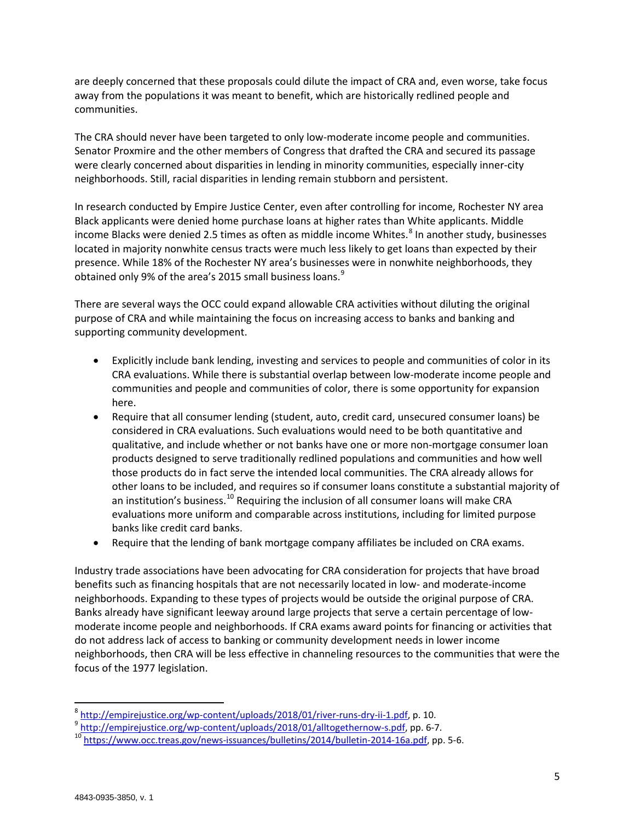are deeply concerned that these proposals could dilute the impact of CRA and, even worse, take focus away from the populations it was meant to benefit, which are historically redlined people and communities.

The CRA should never have been targeted to only low-moderate income people and communities. Senator Proxmire and the other members of Congress that drafted the CRA and secured its passage were clearly concerned about disparities in lending in minority communities, especially inner-city neighborhoods. Still, racial disparities in lending remain stubborn and persistent.

In research conducted by Empire Justice Center, even after controlling for income, Rochester NY area Black applicants were denied home purchase loans at higher rates than White applicants. Middle income Blacks were denied 2.5 times as often as middle income Whites.<sup>[8](#page-4-0)</sup> In another study, businesses located in majority nonwhite census tracts were much less likely to get loans than expected by their presence. While 18% of the Rochester NY area's businesses were in nonwhite neighborhoods, they obtained only [9](#page-4-1)% of the area's 2015 small business loans.<sup>9</sup>

There are several ways the OCC could expand allowable CRA activities without diluting the original purpose of CRA and while maintaining the focus on increasing access to banks and banking and supporting community development.

- Explicitly include bank lending, investing and services to people and communities of color in its CRA evaluations. While there is substantial overlap between low-moderate income people and communities and people and communities of color, there is some opportunity for expansion here.
- Require that all consumer lending (student, auto, credit card, unsecured consumer loans) be considered in CRA evaluations. Such evaluations would need to be both quantitative and qualitative, and include whether or not banks have one or more non-mortgage consumer loan products designed to serve traditionally redlined populations and communities and how well those products do in fact serve the intended local communities. The CRA already allows for other loans to be included, and requires so if consumer loans constitute a substantial majority of an institution's business.<sup>[10](#page-4-2)</sup> Requiring the inclusion of all consumer loans will make CRA evaluations more uniform and comparable across institutions, including for limited purpose banks like credit card banks.
- Require that the lending of bank mortgage company affiliates be included on CRA exams.

Industry trade associations have been advocating for CRA consideration for projects that have broad benefits such as financing hospitals that are not necessarily located in low- and moderate-income neighborhoods. Expanding to these types of projects would be outside the original purpose of CRA. Banks already have significant leeway around large projects that serve a certain percentage of lowmoderate income people and neighborhoods. If CRA exams award points for financing or activities that do not address lack of access to banking or community development needs in lower income neighborhoods, then CRA will be less effective in channeling resources to the communities that were the focus of the 1977 legislation.

<span id="page-4-2"></span><span id="page-4-1"></span>

<span id="page-4-0"></span> $^8$  [http://empirejustice.org/wp-content/uploads/2018/01/river-runs-dry-ii-1.pdf,](http://empirejustice.org/wp-content/uploads/2018/01/river-runs-dry-ii-1.pdf) p. 10.<br> $^9$  [http://empirejustice.org/wp-content/uploads/2018/01/alltogethernow-s.pdf,](http://empirejustice.org/wp-content/uploads/2018/01/alltogethernow-s.pdf) pp. 6-7.<br> $^{10}$  https://www.occ.treas.gov/news-issuan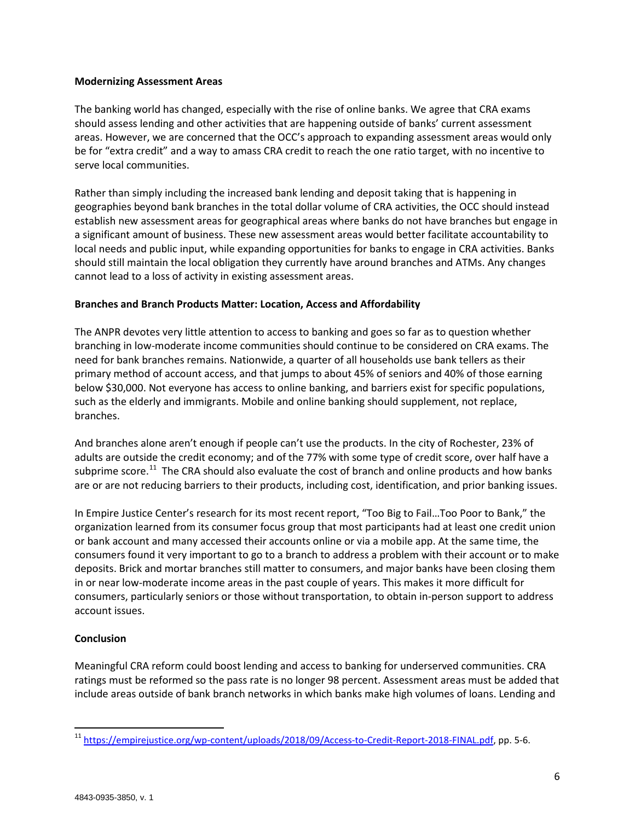#### **Modernizing Assessment Areas**

The banking world has changed, especially with the rise of online banks. We agree that CRA exams should assess lending and other activities that are happening outside of banks' current assessment areas. However, we are concerned that the OCC's approach to expanding assessment areas would only be for "extra credit" and a way to amass CRA credit to reach the one ratio target, with no incentive to serve local communities.

Rather than simply including the increased bank lending and deposit taking that is happening in geographies beyond bank branches in the total dollar volume of CRA activities, the OCC should instead establish new assessment areas for geographical areas where banks do not have branches but engage in a significant amount of business. These new assessment areas would better facilitate accountability to local needs and public input, while expanding opportunities for banks to engage in CRA activities. Banks should still maintain the local obligation they currently have around branches and ATMs. Any changes cannot lead to a loss of activity in existing assessment areas.

# **Branches and Branch Products Matter: Location, Access and Affordability**

The ANPR devotes very little attention to access to banking and goes so far as to question whether branching in low-moderate income communities should continue to be considered on CRA exams. The need for bank branches remains. Nationwide, a quarter of all households use bank tellers as their primary method of account access, and that jumps to about 45% of seniors and 40% of those earning below \$30,000. Not everyone has access to online banking, and barriers exist for specific populations, such as the elderly and immigrants. Mobile and online banking should supplement, not replace, branches.

And branches alone aren't enough if people can't use the products. In the city of Rochester, 23% of adults are outside the credit economy; and of the 77% with some type of credit score, over half have a subprime score.<sup>[11](#page-5-0)</sup> The CRA should also evaluate the cost of branch and online products and how banks are or are not reducing barriers to their products, including cost, identification, and prior banking issues.

In Empire Justice Center's research for its most recent report, "Too Big to Fail…Too Poor to Bank," the organization learned from its consumer focus group that most participants had at least one credit union or bank account and many accessed their accounts online or via a mobile app. At the same time, the consumers found it very important to go to a branch to address a problem with their account or to make deposits. Brick and mortar branches still matter to consumers, and major banks have been closing them in or near low-moderate income areas in the past couple of years. This makes it more difficult for consumers, particularly seniors or those without transportation, to obtain in-person support to address account issues.

# **Conclusion**

Meaningful CRA reform could boost lending and access to banking for underserved communities. CRA ratings must be reformed so the pass rate is no longer 98 percent. Assessment areas must be added that include areas outside of bank branch networks in which banks make high volumes of loans. Lending and

<span id="page-5-0"></span><sup>&</sup>lt;sup>11</sup> [https://empirejustice.org/wp-content/uploads/2018/09/Access-to-Credit-Report-2018-FINAL.pdf,](https://empirejustice.org/wp-content/uploads/2018/09/Access-to-Credit-Report-2018-FINAL.pdf) pp. 5-6.